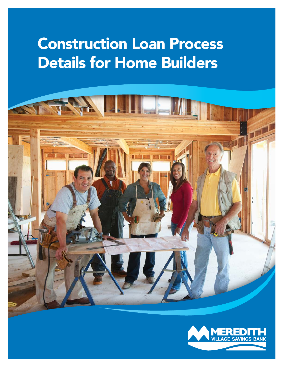# Construction Loan Process Details for Home Builders



 $\mathcal{N}_{\text{max}}$ 

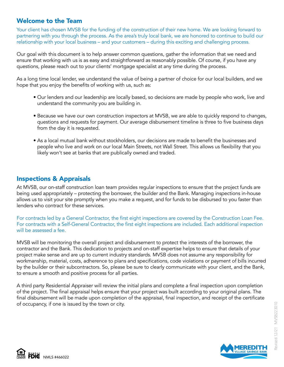# Welcome to the Team

Your client has chosen MVSB for the funding of the construction of their new home. We are looking forward to partnering with you through the process. As the area's truly local bank, we are honored to continue to build our relationship with your local business – and your customers – during this exciting and challenging process.

Our goal with this document is to help answer common questions, gather the information that we need and ensure that working with us is as easy and straightforward as reasonably possible. Of course, if you have any questions, please reach out to your clients' mortgage specialist at any time during the process.

As a long time local lender, we understand the value of being a partner of choice for our local builders, and we hope that you enjoy the benefits of working with us, such as:

- Our lenders and our leadership are locally based, so decisions are made by people who work, live and understand the community you are building in.
- Because we have our own construction inspectors at MVSB, we are able to quickly respond to changes, questions and requests for payment. Our average disbursement timeline is three to five business days from the day it is requested.
- As a local mutual bank without stockholders, our decisions are made to benefit the businesses and people who live and work on our local Main Streets, not Wall Street. This allows us flexibility that you likely won't see at banks that are publically owned and traded.

## Inspections & Appraisals

At MVSB, our on-staff construction loan team provides regular inspections to ensure that the project funds are being used appropriately – protecting the borrower, the builder and the Bank. Managing inspections in-house allows us to visit your site promptly when you make a request, and for funds to be disbursed to you faster than lenders who contract for these services.

For contracts led by a General Contractor, the first eight inspections are covered by the Construction Loan Fee. For contracts with a Self-General Contractor, the first eight inspections are included. Each additional inspection will be assessed a fee.

MVSB will be monitoring the overall project and disbursement to protect the interests of the borrower, the contractor and the Bank. This dedication to projects and on-staff expertise helps to ensure that details of your project make sense and are up to current industry standards. MVSB does not assume any responsibility for workmanship, material, costs, adherence to plans and specifications, code violations or payment of bills incurred by the builder or their subcontractors. So, please be sure to clearly communicate with your client, and the Bank, to ensure a smooth and positive process for all parties.

A third party Residential Appraiser will review the initial plans and complete a final inspection upon completion of the project. The final appraisal helps ensure that your project was built according to your original plans. The final disbursement will be made upon completion of the appraisal, final inspection, and receipt of the certificate of occupancy, if one is issued by the town or city.



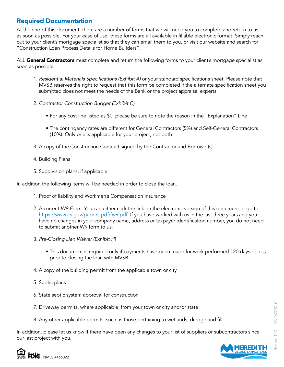# Required Documentation

At the end of this document, there are a number of forms that we will need you to complete and return to us as soon as possible. For your ease of use, these forms are all available in fillable electronic format. Simply reach out to your client's mortgage specialist so that they can email them to you, or visit our website and search for "Construction Loan Process Details for Home Builders".

ALL General Contractors must complete and return the following forms to your client's mortgage specialist as soon as possible:

- 1. Residential Materials Specifications (Exhibit A) or your standard specifications sheet. Please note that MVSB reserves the right to request that this form be completed if the alternate specification sheet you submitted does not meet the needs of the Bank or the project appraisal experts.
- 2. Contractor Construction Budget (Exhibit C)
	- For any cost line listed as \$0, please be sure to note the reason in the "Explanation" Line
	- The contingency rates are different for General Contractors (5%) and Self-General Contractors (10%). Only one is applicable for your project, not both
- 3. A copy of the Construction Contract signed by the Contractor and Borrower(s)
- 4. Building Plans
- 5. Subdivision plans, if applicable

In addition the following items will be needed in order to close the loan.

- 1. Proof of liability and Workmen's Compensation Insurance
- 2. A current W9 Form. You can either click the link on the electronic version of this document or go to https://www.irs.gov/pub/irs-pdf/fw9.pdf. If you have worked with us in the last three years and you have no changes in your company name, address or taxpayer identification number, you do not need to submit another W9 form to us.
- 3. Pre-Closing Lien Waiver (Exhibit H)
	- This document is required only if payments have been made for work performed 120 days or less prior to closing the loan with MVSB
- 4. A copy of the building permit from the applicable town or city
- 5. Septic plans
- 6. State septic system approval for construction
- 7. Driveway permits, where applicable, from your town or city and/or state
- 8. Any other applicable permits, such as those pertaining to wetlands, dredge and fill.

In addition, please let us know if there have been any changes to your list of suppliers or subcontractors since our last project with you.



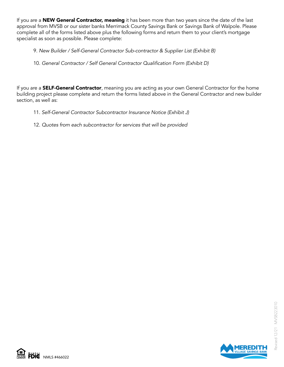If you are a **NEW General Contractor, meaning** it has been more than two years since the date of the last approval from MVSB or our sister banks Merrimack County Savings Bank or Savings Bank of Walpole. Please complete all of the forms listed above plus the following forms and return them to your client's mortgage specialist as soon as possible. Please complete:

9. New Builder / Self-General Contractor Sub-contractor & Supplier List (Exhibit B)

## 10. General Contractor / Self General Contractor Qualification Form (Exhibit D)

If you are a **SELF-General Contractor**, meaning you are acting as your own General Contractor for the home building project please complete and return the forms listed above in the General Contractor and new builder section, as well as:

- 11. Self-General Contractor Subcontractor Insurance Notice (Exhibit J)
- 12. Quotes from each subcontractor for services that will be provided

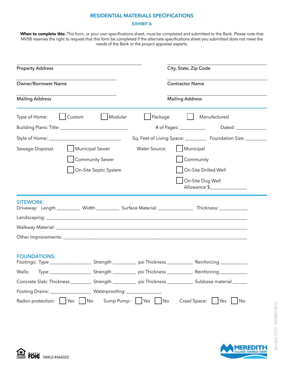#### **RESIDENTIAL MATERIALS SPECIFICATIONS**

#### **EXHIBIT A**

**When to complete this:** This form, or your own specifications sheet, must be completed and submitted to the Bank. Please note that MVSB reserves the right to request that this form be completed if the alternate specifications sheet you submitted does not meet the needs of the Bank or the project appraisal experts.

| <b>Property Address</b>                                                                                                               | City, State, Zip Code                                             |
|---------------------------------------------------------------------------------------------------------------------------------------|-------------------------------------------------------------------|
| <b>Owner/Borrower Name</b><br><b>Contractor Name</b>                                                                                  |                                                                   |
| <b>Mailing Address</b><br><b>Mailing Address</b>                                                                                      |                                                                   |
| Modular<br>$ $ Package<br>Custom<br>Type of Home:                                                                                     | Manufactured                                                      |
|                                                                                                                                       | # of Pages: _____________<br>Dated: _______________               |
|                                                                                                                                       | Sq. Feet of Living Space: ____________ Foundation Size: _________ |
| <b>Water Source:</b><br>Sewage Disposal:<br>Municipal Sewer                                                                           | Municipal                                                         |
| <b>Community Sewer</b>                                                                                                                | Community                                                         |
| On-Site Septic System                                                                                                                 | On-Site Drilled Well                                              |
|                                                                                                                                       | On-Site Dug Well<br>Allowance \$                                  |
| <b>SITEWORK:</b><br>Driveway: Length __________ Width __________ Surface Material: _______________ Thickness: _____________           |                                                                   |
|                                                                                                                                       |                                                                   |
|                                                                                                                                       |                                                                   |
|                                                                                                                                       |                                                                   |
| <b>FOUNDATIONS:</b><br>Footings: Type ________________________Strength ______________ psi Thickness _________________________________ |                                                                   |
| Walls:                                                                                                                                |                                                                   |
| Concrete Slab: Thickness ____________ Strength _____________ psi Thickness _____________ Subbase material ______                      |                                                                   |
|                                                                                                                                       |                                                                   |
| Sump Pump:     Yes     No<br>Radon protection:     Yes     No                                                                         | Crawl Space:     Yes<br>No                                        |

**MEREDITH**<br>VILLAGE SAVINGS BANK

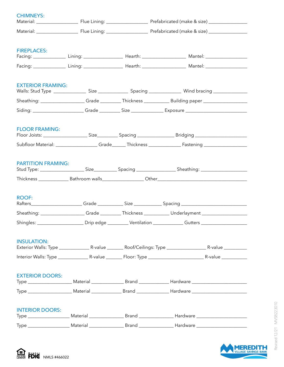| <b>CHIMNEYS:</b>          |  |                                                                                                            |  |
|---------------------------|--|------------------------------------------------------------------------------------------------------------|--|
|                           |  |                                                                                                            |  |
| <b>FIREPLACES:</b>        |  |                                                                                                            |  |
|                           |  |                                                                                                            |  |
| <b>EXTERIOR FRAMING:</b>  |  |                                                                                                            |  |
|                           |  | Sheathing: __________________Grade __________Thickness _______________Building paper _____________________ |  |
|                           |  | Siding: ______________________Grade ___________Size _________________Exposure ___________________________  |  |
| <b>FLOOR FRAMING:</b>     |  |                                                                                                            |  |
|                           |  |                                                                                                            |  |
| <b>PARTITION FRAMING:</b> |  |                                                                                                            |  |
|                           |  |                                                                                                            |  |
| <b>ROOF:</b>              |  | Rafters______________________Grade ______________Size ______________Spacing _____________________________  |  |
|                           |  | Sheathing: __________________Grade _________Thickness ____________Underlayment ____________________        |  |
|                           |  | Shingles: ______________________Drip edge __________Ventilation _____________Gutters _____________________ |  |
| <b>INSULATION:</b>        |  |                                                                                                            |  |
| <b>EXTERIOR DOORS:</b>    |  |                                                                                                            |  |
|                           |  |                                                                                                            |  |
| <b>INTERIOR DOORS:</b>    |  |                                                                                                            |  |
|                           |  |                                                                                                            |  |

**MEREDITH**<br>VILLAGE SAVINGS BANK

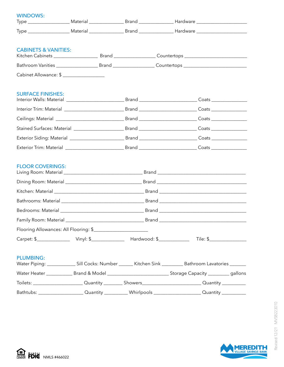| <b>WINDOWS:</b>                 |       |                                                                                                                     |
|---------------------------------|-------|---------------------------------------------------------------------------------------------------------------------|
|                                 |       |                                                                                                                     |
| <b>CABINETS &amp; VANITIES:</b> |       |                                                                                                                     |
|                                 |       | Bathroom Vanities ___________________________Brand _______________________Countertops ________________________      |
| Cabinet Allowance: \$           |       |                                                                                                                     |
| <b>SURFACE FINISHES:</b>        |       |                                                                                                                     |
|                                 |       |                                                                                                                     |
|                                 |       |                                                                                                                     |
|                                 |       |                                                                                                                     |
|                                 |       |                                                                                                                     |
|                                 |       |                                                                                                                     |
| <b>FLOOR COVERINGS:</b>         |       |                                                                                                                     |
|                                 |       |                                                                                                                     |
|                                 |       |                                                                                                                     |
|                                 |       |                                                                                                                     |
|                                 |       |                                                                                                                     |
| Family Room: Material           | Brand |                                                                                                                     |
|                                 |       |                                                                                                                     |
|                                 |       |                                                                                                                     |
| <b>PLUMBING:</b>                |       | Water Piping: ________________ Sill Cocks: Number _______ Kitchen Sink __________ Bathroom Lavatories _______       |
|                                 |       |                                                                                                                     |
|                                 |       | Toilets: __________________________Quantity ___________Showers______________________________Quantity ______________ |
|                                 |       | Bathtubs: __________________________Quantity ______________Whirlpools ________________________Quantity ____________ |

**MEREDITH**<br>VILLAGE SAVINGS BANK

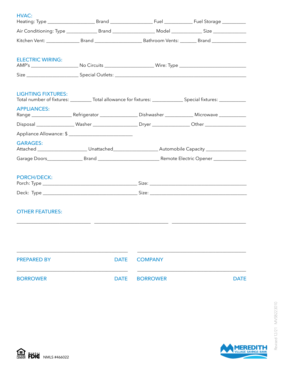| <b>HVAC:</b>              |             |                |                                                                                                                  |
|---------------------------|-------------|----------------|------------------------------------------------------------------------------------------------------------------|
|                           |             |                |                                                                                                                  |
|                           |             |                |                                                                                                                  |
| <b>ELECTRIC WIRING:</b>   |             |                |                                                                                                                  |
|                           |             |                |                                                                                                                  |
| <b>LIGHTING FIXTURES:</b> |             |                | Total number of fixtures: ___________ Total allowance for fixtures: ______________ Special fixtures: ___________ |
| <b>APPLIANCES:</b>        |             |                |                                                                                                                  |
|                           |             |                | Disposal _______________________Washer _______________________Dryer ______________________Other _______________  |
|                           |             |                |                                                                                                                  |
| <b>GARAGES:</b>           |             |                |                                                                                                                  |
|                           |             |                |                                                                                                                  |
| <b>PORCH/DECK:</b>        |             |                |                                                                                                                  |
|                           |             |                |                                                                                                                  |
| <b>OTHER FEATURES:</b>    |             |                |                                                                                                                  |
|                           |             |                |                                                                                                                  |
| <b>PREPARED BY</b>        | <b>DATE</b> | <b>COMPANY</b> |                                                                                                                  |

BORROWER DATE BORROWER DATE BORROWER

Revised 12/21 MVSB223010

Revised 12/21 MVSB223010



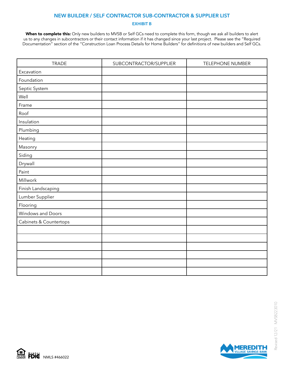#### **NEW BUILDER / SELF CONTRACTOR SUB-CONTRACTOR & SUPPLIER LIST**

#### **EXHIBIT B**

When to complete this: Only new builders to MVSB or Self GCs need to complete this form, though we ask all builders to alert us to any changes in subcontractors or their contact information if it has changed since your last project. Please see the "Required Documentation" section of the "Construction Loan Process Details for Home Builders" for definitions of new builders and Self GCs.

| <b>TRADE</b>           | SUBCONTRACTOR/SUPPLIER | <b>TELEPHONE NUMBER</b> |
|------------------------|------------------------|-------------------------|
| Excavation             |                        |                         |
| Foundation             |                        |                         |
| Septic System          |                        |                         |
| Well                   |                        |                         |
| Frame                  |                        |                         |
| Roof                   |                        |                         |
| Insulation             |                        |                         |
| Plumbing               |                        |                         |
| Heating                |                        |                         |
| Masonry                |                        |                         |
| Siding                 |                        |                         |
| Drywall                |                        |                         |
| Paint                  |                        |                         |
| Millwork               |                        |                         |
| Finish Landscaping     |                        |                         |
| Lumber Supplier        |                        |                         |
| Flooring               |                        |                         |
| Windows and Doors      |                        |                         |
| Cabinets & Countertops |                        |                         |
|                        |                        |                         |
|                        |                        |                         |
|                        |                        |                         |
|                        |                        |                         |
|                        |                        |                         |
|                        |                        |                         |



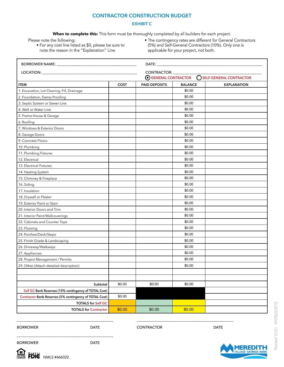## **CONTRACTOR CONSTRUCTION BUDGET**

#### **EXHIBIT C**

When to complete this: This form must be thoroughly completed by all builders for each project.

Please note the following:

- For any cost line listed as \$0, please be sure to note the reason in the "Explanation" Line
- The contingency rates are different for General Contractors (5%) and Self-General Contractors (10%). Only one is applicable for your project, not both.

|                                                         |             | DATE: the contract of the contract of the contract of the contract of the contract of the contract of the contract of the contract of the contract of the contract of the contract of the contract of the contract of the cont |                 |  |  |  |
|---------------------------------------------------------|-------------|--------------------------------------------------------------------------------------------------------------------------------------------------------------------------------------------------------------------------------|-----------------|--|--|--|
|                                                         |             |                                                                                                                                                                                                                                | CONTRACTOR: ___ |  |  |  |
|                                                         |             | SELF-GENERAL CONTRACTOR<br>GENERAL CONTRACTOR                                                                                                                                                                                  |                 |  |  |  |
| <b>ITEM</b>                                             | <b>COST</b> | PAID DEPOSITS<br><b>BALANCE</b><br><b>EXPLANATION</b>                                                                                                                                                                          |                 |  |  |  |
| 1. Excavation, Lot Clearing, Fill, Drainage             |             |                                                                                                                                                                                                                                | \$0.00          |  |  |  |
| 2. Foundation, Damp Proofing                            |             |                                                                                                                                                                                                                                | \$0.00          |  |  |  |
| 3. Septic System or Sewer Line                          |             |                                                                                                                                                                                                                                | \$0.00          |  |  |  |
| 4. Well or Water Line                                   |             |                                                                                                                                                                                                                                | \$0.00          |  |  |  |
| 5. Frame House & Garage                                 |             |                                                                                                                                                                                                                                | \$0.00          |  |  |  |
| 6. Roofing                                              |             |                                                                                                                                                                                                                                | \$0.00          |  |  |  |
| 7. Windows & Exterior Doors                             |             |                                                                                                                                                                                                                                | \$0.00          |  |  |  |
| 8. Garage Doors                                         |             |                                                                                                                                                                                                                                | \$0.00          |  |  |  |
| 9. Concrete Floors                                      |             |                                                                                                                                                                                                                                | \$0.00          |  |  |  |
| 10. Plumbing                                            |             |                                                                                                                                                                                                                                | \$0.00          |  |  |  |
| 11. Plumbing Fixtures                                   |             |                                                                                                                                                                                                                                | \$0.00          |  |  |  |
| 12. Electrical                                          |             |                                                                                                                                                                                                                                | \$0.00          |  |  |  |
| 13. Electrical Fixtures                                 |             |                                                                                                                                                                                                                                | \$0.00          |  |  |  |
| 14. Heating System                                      |             |                                                                                                                                                                                                                                | \$0.00          |  |  |  |
| 15. Chimney & Fireplace                                 |             |                                                                                                                                                                                                                                | \$0.00          |  |  |  |
| 16. Siding                                              |             |                                                                                                                                                                                                                                | \$0.00          |  |  |  |
| 17. Insulation                                          |             |                                                                                                                                                                                                                                | \$0.00          |  |  |  |
| 18. Drywall or Plaster                                  |             |                                                                                                                                                                                                                                | \$0.00          |  |  |  |
| 19. Exterior Paint or Stain                             |             |                                                                                                                                                                                                                                | \$0.00          |  |  |  |
| 20. Interior Doors and Trim                             |             |                                                                                                                                                                                                                                | \$0.00          |  |  |  |
| 21. Interior Paint/Wallcoverings                        |             |                                                                                                                                                                                                                                | \$0.00          |  |  |  |
| 22. Cabinets and Counter Tops                           |             |                                                                                                                                                                                                                                | \$0.00          |  |  |  |
| 23. Flooring                                            |             |                                                                                                                                                                                                                                | \$0.00          |  |  |  |
| 24. Porches/Deck/Steps                                  |             |                                                                                                                                                                                                                                | \$0.00          |  |  |  |
| 25. Finish Grade & Landscaping                          |             |                                                                                                                                                                                                                                | \$0.00          |  |  |  |
| 26. Driveway/Walkways                                   |             |                                                                                                                                                                                                                                | \$0.00          |  |  |  |
| 27. Appliances                                          |             |                                                                                                                                                                                                                                | \$0.00          |  |  |  |
| 28. Project Management / Permits                        |             |                                                                                                                                                                                                                                | \$0.00          |  |  |  |
| 29. Other (Attach detailed description)                 |             |                                                                                                                                                                                                                                | \$0.00          |  |  |  |
|                                                         |             |                                                                                                                                                                                                                                |                 |  |  |  |
|                                                         |             |                                                                                                                                                                                                                                |                 |  |  |  |
| Subtotal                                                | \$0.00      | \$0.00                                                                                                                                                                                                                         | \$0.00          |  |  |  |
| Self GC Bank Reserves (10% contingency of TOTAL Cost)   |             |                                                                                                                                                                                                                                |                 |  |  |  |
| Contractor Bank Reserves (5% contingency of TOTAL Cost) | \$0.00      |                                                                                                                                                                                                                                |                 |  |  |  |
| <b>TOTALS for Self GC</b>                               |             |                                                                                                                                                                                                                                |                 |  |  |  |
| <b>TOTALS for Contractor</b>                            | \$0.00      | \$0.00                                                                                                                                                                                                                         | \$0.00          |  |  |  |

BORROWER DATE

\_\_\_\_\_\_\_\_\_\_\_\_\_\_\_\_\_\_\_\_\_\_\_\_\_\_\_\_\_\_\_\_\_\_\_\_\_\_\_\_\_\_\_\_\_\_\_\_\_\_\_\_

\_\_\_\_\_\_\_\_\_\_\_\_\_\_\_\_\_\_\_\_\_\_\_\_\_\_\_\_\_\_\_\_\_\_\_\_\_\_\_\_\_\_\_\_\_\_\_\_\_\_\_\_

CONTRACTOR DATE

\_\_\_\_\_\_\_\_\_\_\_\_\_\_\_\_\_\_\_\_\_\_\_\_\_\_\_\_\_\_\_\_\_\_\_\_\_\_\_\_\_\_\_\_\_\_\_\_\_\_\_\_



Revised 12/21 MVSB223010

Revised 12/21 MVSB223010

BORROWER DATE

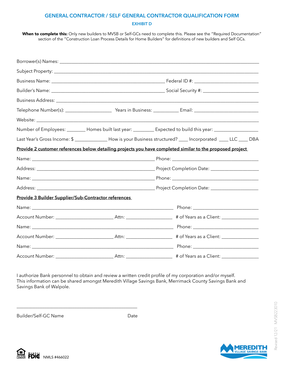# **GENERAL CONTRACTOR / SELF GENERAL CONTRACTOR QUALIFICATION FORM**

#### **EXHIBIT D**

When to complete this: Only new builders to MVSB or Self-GCs need to complete this. Please see the "Required Documentation" section of the "Construction Loan Process Details for Home Builders" for definitions of new builders and Self GCs.

|                                                      | Number of Employees: _________ Homes built last year: _________ Expected to build this year: ________________     |  |  |  |  |
|------------------------------------------------------|-------------------------------------------------------------------------------------------------------------------|--|--|--|--|
|                                                      | Last Year's Gross Income: \$ _______________ How is your Business structured? ____ Incorporated ____ LLC ____ DBA |  |  |  |  |
|                                                      | Provide 2 customer references below detailing projects you have completed similar to the proposed project         |  |  |  |  |
|                                                      |                                                                                                                   |  |  |  |  |
|                                                      |                                                                                                                   |  |  |  |  |
|                                                      |                                                                                                                   |  |  |  |  |
|                                                      |                                                                                                                   |  |  |  |  |
| Provide 3 Builder Supplier/Sub-Contractor references |                                                                                                                   |  |  |  |  |
|                                                      |                                                                                                                   |  |  |  |  |
|                                                      |                                                                                                                   |  |  |  |  |
|                                                      |                                                                                                                   |  |  |  |  |
|                                                      |                                                                                                                   |  |  |  |  |
|                                                      |                                                                                                                   |  |  |  |  |
|                                                      |                                                                                                                   |  |  |  |  |

I authorize Bank personnel to obtain and review a written credit profile of my corporation and/or myself. This information can be shared amongst Meredith Village Savings Bank, Merrimack County Savings Bank and Savings Bank of Walpole.

Builder/Self-GC Name Date

\_\_\_\_\_\_\_\_\_\_\_\_\_\_\_\_\_\_\_\_\_\_\_\_\_\_\_\_\_\_\_\_\_\_\_\_\_\_\_\_\_\_\_\_\_\_\_\_\_\_\_\_



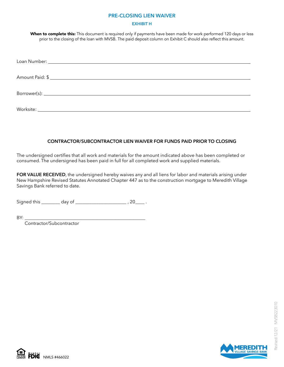#### **PRE-CLOSING LIEN WAIVER**

#### **EXHIBIT H**

When to complete this: This document is required only if payments have been made for work performed 120 days or less prior to the closing of the loan with MVSB. The paid deposit column on Exhibit C should also reflect this amount.

| Amount Paid: \$ |
|-----------------|
|                 |
|                 |

### **CONTRACTOR/SUBCONTRACTOR LIEN WAIVER FOR FUNDS PAID PRIOR TO CLOSING**

The undersigned certifies that all work and materials for the amount indicated above has been completed or consumed. The undersigned has been paid in full for all completed work and supplied materials.

**FOR VALUE RECEIVED**, the undersigned hereby waives any and all liens for labor and materials arising under New Hampshire Revised Statutes Annotated Chapter 447 as to the construction mortgage to Meredith Village Savings Bank referred to date.

Signed this day of the set of the set of the set of the set of the set of the set of the set of the set of the s

 $BY:$ 

Contractor/Subcontractor





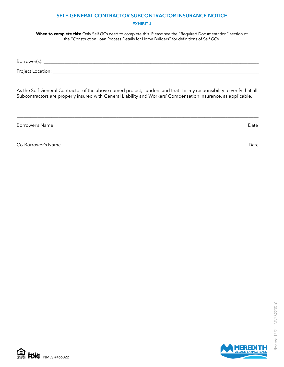## **SELF-GENERAL CONTRACTOR SUBCONTRACTOR INSURANCE NOTICE**

#### **EXHIBIT J**

When to complete this: Only Self GCs need to complete this. Please see the "Required Documentation" section of the "Construction Loan Process Details for Home Builders" for definitions of Self GCs.

Borrower(s): \_\_\_\_\_\_\_\_\_\_\_\_\_\_\_\_\_\_\_\_\_\_\_\_\_\_\_\_\_\_\_\_\_\_\_\_\_\_\_\_\_\_\_\_\_\_\_\_\_\_\_\_\_\_\_\_\_\_\_\_\_\_\_\_\_\_\_\_\_\_\_\_\_\_\_\_\_\_\_\_\_\_\_\_\_\_\_\_\_\_\_\_\_

Project Location: \_\_\_\_\_\_\_\_\_\_\_\_\_\_\_\_\_\_\_\_\_\_\_\_\_\_\_\_\_\_\_\_\_\_\_\_\_\_\_\_\_\_\_\_\_\_\_\_\_\_\_\_\_\_\_\_\_\_\_\_\_\_\_\_\_\_\_\_\_\_\_\_\_\_\_\_\_\_\_\_\_\_\_\_\_\_\_\_\_

As the Self-General Contractor of the above named project, I understand that it is my responsibility to verify that all Subcontractors are properly insured with General Liability and Workers' Compensation Insurance, as applicable.

\_\_\_\_\_\_\_\_\_\_\_\_\_\_\_\_\_\_\_\_\_\_\_\_\_\_\_\_\_\_\_\_\_\_\_\_\_\_\_\_\_\_\_\_\_\_\_\_\_\_\_\_\_\_\_\_\_\_\_\_\_\_\_\_\_\_\_\_\_\_\_\_\_\_\_\_\_\_\_\_\_\_\_\_\_\_\_\_\_\_\_\_\_\_\_\_\_\_\_\_\_\_\_\_

 $\mathcal{L}_\mathcal{L} = \{ \mathcal{L}_\mathcal{L} = \{ \mathcal{L}_\mathcal{L} = \{ \mathcal{L}_\mathcal{L} = \{ \mathcal{L}_\mathcal{L} = \{ \mathcal{L}_\mathcal{L} = \{ \mathcal{L}_\mathcal{L} = \{ \mathcal{L}_\mathcal{L} = \{ \mathcal{L}_\mathcal{L} = \{ \mathcal{L}_\mathcal{L} = \{ \mathcal{L}_\mathcal{L} = \{ \mathcal{L}_\mathcal{L} = \{ \mathcal{L}_\mathcal{L} = \{ \mathcal{L}_\mathcal{L} = \{ \mathcal{L}_\mathcal{$ 

Borrower's Name Date Communication of the Communication of the Date Date Date Date

Co-Borrower's Name Date Communication of the Communication of the Date Date Date Date Date